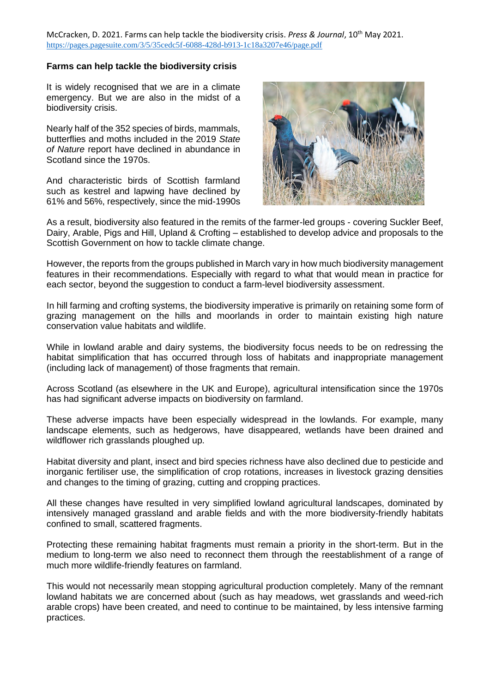McCracken, D. 2021. Farms can help tackle the biodiversity crisis. *Press & Journal*, 10th May 2021. <https://pages.pagesuite.com/3/5/35cedc5f-6088-428d-b913-1c18a3207e46/page.pdf>

## **Farms can help tackle the biodiversity crisis**

It is widely recognised that we are in a climate emergency. But we are also in the midst of a biodiversity crisis.

Nearly half of the 352 species of birds, mammals, butterflies and moths included in the 2019 *State of Nature* report have declined in abundance in Scotland since the 1970s.

And characteristic birds of Scottish farmland such as kestrel and lapwing have declined by 61% and 56%, respectively, since the mid-1990s



As a result, biodiversity also featured in the remits of the farmer-led groups - covering Suckler Beef, Dairy, Arable, Pigs and Hill, Upland & Crofting – established to develop advice and proposals to the Scottish Government on how to tackle climate change.

However, the reports from the groups published in March vary in how much biodiversity management features in their recommendations. Especially with regard to what that would mean in practice for each sector, beyond the suggestion to conduct a farm-level biodiversity assessment.

In hill farming and crofting systems, the biodiversity imperative is primarily on retaining some form of grazing management on the hills and moorlands in order to maintain existing high nature conservation value habitats and wildlife.

While in lowland arable and dairy systems, the biodiversity focus needs to be on redressing the habitat simplification that has occurred through loss of habitats and inappropriate management (including lack of management) of those fragments that remain.

Across Scotland (as elsewhere in the UK and Europe), agricultural intensification since the 1970s has had significant adverse impacts on biodiversity on farmland.

These adverse impacts have been especially widespread in the lowlands. For example, many landscape elements, such as hedgerows, have disappeared, wetlands have been drained and wildflower rich grasslands ploughed up.

Habitat diversity and plant, insect and bird species richness have also declined due to pesticide and inorganic fertiliser use, the simplification of crop rotations, increases in livestock grazing densities and changes to the timing of grazing, cutting and cropping practices.

All these changes have resulted in very simplified lowland agricultural landscapes, dominated by intensively managed grassland and arable fields and with the more biodiversity-friendly habitats confined to small, scattered fragments.

Protecting these remaining habitat fragments must remain a priority in the short-term. But in the medium to long-term we also need to reconnect them through the reestablishment of a range of much more wildlife-friendly features on farmland.

This would not necessarily mean stopping agricultural production completely. Many of the remnant lowland habitats we are concerned about (such as hay meadows, wet grasslands and weed-rich arable crops) have been created, and need to continue to be maintained, by less intensive farming practices.